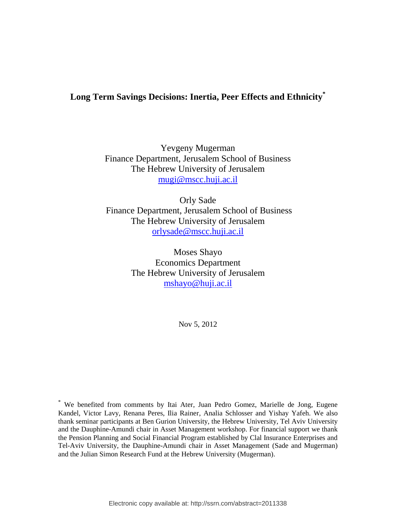# **Long Term Savings Decisions: Inertia, Peer Effects and Ethnicity\***

Yevgeny Mugerman Finance Department, Jerusalem School of Business The Hebrew University of Jerusalem [mugi@mscc.huji.ac.il](mailto:mugi@mscc.huji.ac.il)

Orly Sade Finance Department, Jerusalem School of Business The Hebrew University of Jerusalem [orlysade@mscc.huji.ac.il](mailto:orlysade@mscc.huji.ac.il)

> Moses Shayo Economics Department The Hebrew University of Jerusalem [mshayo@huji.ac.il](mailto:mshayo@huji.ac.il)

> > Nov 5, 2012

\* We benefited from comments by Itai Ater, Juan Pedro Gomez, Marielle de Jong, Eugene Kandel, Victor Lavy, Renana Peres, Ilia Rainer, Analia Schlosser and Yishay Yafeh. We also thank seminar participants at Ben Gurion University, the Hebrew University, Tel Aviv University and the Dauphine-Amundi chair in Asset Management workshop. For financial support we thank the Pension Planning and Social Financial Program established by Clal Insurance Enterprises and Tel-Aviv University, the Dauphine-Amundi chair in Asset Management (Sade and Mugerman) and the Julian Simon Research Fund at the Hebrew University (Mugerman).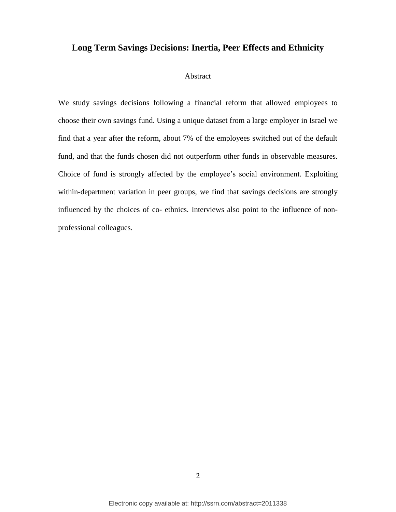# **Long Term Savings Decisions: Inertia, Peer Effects and Ethnicity**

## Abstract

We study savings decisions following a financial reform that allowed employees to choose their own savings fund. Using a unique dataset from a large employer in Israel we find that a year after the reform, about 7% of the employees switched out of the default fund, and that the funds chosen did not outperform other funds in observable measures. Choice of fund is strongly affected by the employee's social environment. Exploiting within-department variation in peer groups, we find that savings decisions are strongly influenced by the choices of co- ethnics. Interviews also point to the influence of nonprofessional colleagues.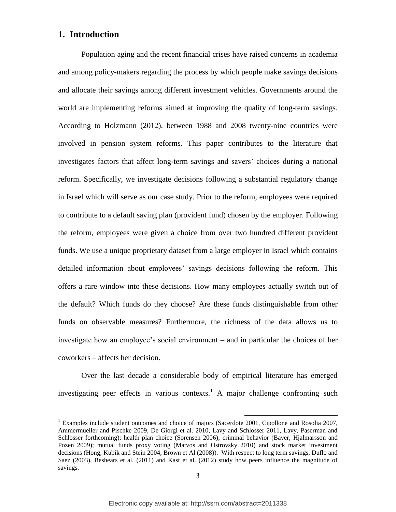# **1. Introduction**

Population aging and the recent financial crises have raised concerns in academia and among policy-makers regarding the process by which people make savings decisions and allocate their savings among different investment vehicles. Governments around the world are implementing reforms aimed at improving the quality of long-term savings. According to Holzmann (2012), between 1988 and 2008 twenty-nine countries were involved in pension system reforms. This paper contributes to the literature that investigates factors that affect long-term savings and savers' choices during a national reform. Specifically, we investigate decisions following a substantial regulatory change in Israel which will serve as our case study. Prior to the reform, employees were required to contribute to a default saving plan (provident fund) chosen by the employer. Following the reform, employees were given a choice from over two hundred different provident funds. We use a unique proprietary dataset from a large employer in Israel which contains detailed information about employees' savings decisions following the reform. This offers a rare window into these decisions. How many employees actually switch out of the default? Which funds do they choose? Are these funds distinguishable from other funds on observable measures? Furthermore, the richness of the data allows us to investigate how an employee's social environment – and in particular the choices of her coworkers – affects her decision.

Over the last decade a considerable body of empirical literature has emerged investigating peer effects in various contexts.<sup>1</sup> A major challenge confronting such

<sup>&</sup>lt;sup>1</sup> Examples include student outcomes and choice of majors (Sacerdote 2001, Cipollone and Rosolia 2007, Ammermueller and Pischke 2009, De Giorgi et al. 2010, Lavy and Schlosser 2011, Lavy, Paserman and Schlosser forthcoming); health plan choice (Sorensen 2006); criminal behavior (Bayer, Hjalmarsson and Pozen 2009); mutual funds proxy voting (Matvos and Ostrovsky 2010) and stock market investment decisions (Hong, Kubik and Stein 2004, Brown et Al (2008)). With respect to long term savings, Duflo and Saez (2003), Beshears et al. (2011) and Kast et al. (2012) study how peers influence the magnitude of savings.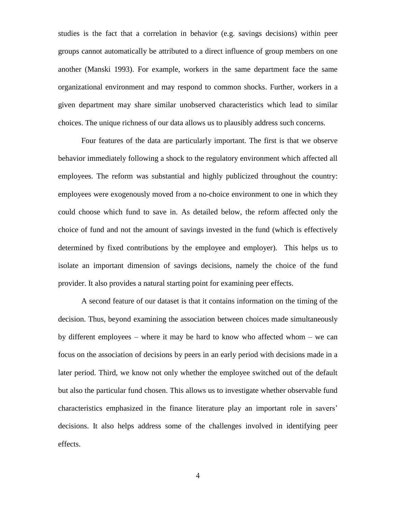studies is the fact that a correlation in behavior (e.g. savings decisions) within peer groups cannot automatically be attributed to a direct influence of group members on one another (Manski 1993). For example, workers in the same department face the same organizational environment and may respond to common shocks. Further, workers in a given department may share similar unobserved characteristics which lead to similar choices. The unique richness of our data allows us to plausibly address such concerns.

Four features of the data are particularly important. The first is that we observe behavior immediately following a shock to the regulatory environment which affected all employees. The reform was substantial and highly publicized throughout the country: employees were exogenously moved from a no-choice environment to one in which they could choose which fund to save in. As detailed below, the reform affected only the choice of fund and not the amount of savings invested in the fund (which is effectively determined by fixed contributions by the employee and employer). This helps us to isolate an important dimension of savings decisions, namely the choice of the fund provider. It also provides a natural starting point for examining peer effects.

A second feature of our dataset is that it contains information on the timing of the decision. Thus, beyond examining the association between choices made simultaneously by different employees – where it may be hard to know who affected whom – we can focus on the association of decisions by peers in an early period with decisions made in a later period. Third, we know not only whether the employee switched out of the default but also the particular fund chosen. This allows us to investigate whether observable fund characteristics emphasized in the finance literature play an important role in savers' decisions. It also helps address some of the challenges involved in identifying peer effects.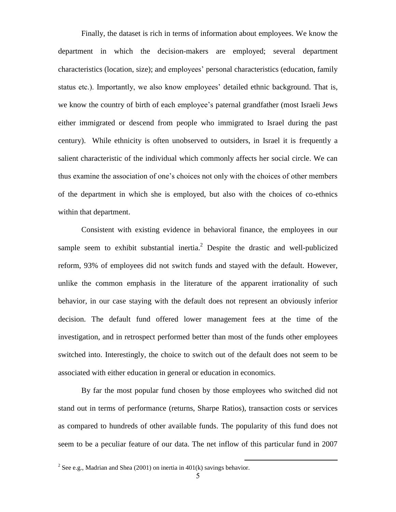Finally, the dataset is rich in terms of information about employees. We know the department in which the decision-makers are employed; several department characteristics (location, size); and employees' personal characteristics (education, family status etc.). Importantly, we also know employees' detailed ethnic background. That is, we know the country of birth of each employee's paternal grandfather (most Israeli Jews either immigrated or descend from people who immigrated to Israel during the past century). While ethnicity is often unobserved to outsiders, in Israel it is frequently a salient characteristic of the individual which commonly affects her social circle. We can thus examine the association of one's choices not only with the choices of other members of the department in which she is employed, but also with the choices of co-ethnics within that department.

Consistent with existing evidence in behavioral finance, the employees in our sample seem to exhibit substantial inertia.<sup>2</sup> Despite the drastic and well-publicized reform, 93% of employees did not switch funds and stayed with the default. However, unlike the common emphasis in the literature of the apparent irrationality of such behavior, in our case staying with the default does not represent an obviously inferior decision. The default fund offered lower management fees at the time of the investigation, and in retrospect performed better than most of the funds other employees switched into. Interestingly, the choice to switch out of the default does not seem to be associated with either education in general or education in economics.

By far the most popular fund chosen by those employees who switched did not stand out in terms of performance (returns, Sharpe Ratios), transaction costs or services as compared to hundreds of other available funds. The popularity of this fund does not seem to be a peculiar feature of our data. The net inflow of this particular fund in 2007

<sup>&</sup>lt;sup>2</sup> See e.g., Madrian and Shea (2001) on inertia in 401(k) savings behavior.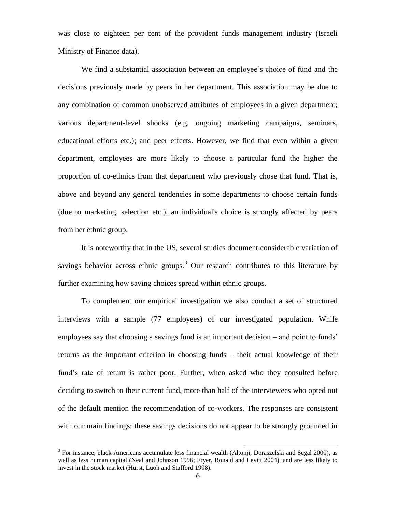was close to eighteen per cent of the provident funds management industry (Israeli Ministry of Finance data).

We find a substantial association between an employee's choice of fund and the decisions previously made by peers in her department. This association may be due to any combination of common unobserved attributes of employees in a given department; various department-level shocks (e.g. ongoing marketing campaigns, seminars, educational efforts etc.); and peer effects. However, we find that even within a given department, employees are more likely to choose a particular fund the higher the proportion of co-ethnics from that department who previously chose that fund. That is, above and beyond any general tendencies in some departments to choose certain funds (due to marketing, selection etc.), an individual's choice is strongly affected by peers from her ethnic group.

It is noteworthy that in the US, several studies document considerable variation of savings behavior across ethnic groups.<sup>3</sup> Our research contributes to this literature by further examining how saving choices spread within ethnic groups.

To complement our empirical investigation we also conduct a set of structured interviews with a sample (77 employees) of our investigated population. While employees say that choosing a savings fund is an important decision – and point to funds' returns as the important criterion in choosing funds – their actual knowledge of their fund's rate of return is rather poor. Further, when asked who they consulted before deciding to switch to their current fund, more than half of the interviewees who opted out of the default mention the recommendation of co-workers. The responses are consistent with our main findings: these savings decisions do not appear to be strongly grounded in

<sup>&</sup>lt;sup>3</sup> For instance, black Americans accumulate less financial wealth (Altonji, Doraszelski and Segal 2000), as well as less human capital (Neal and Johnson 1996; Fryer, Ronald and Levitt 2004), and are less likely to invest in the stock market (Hurst, Luoh and Stafford 1998).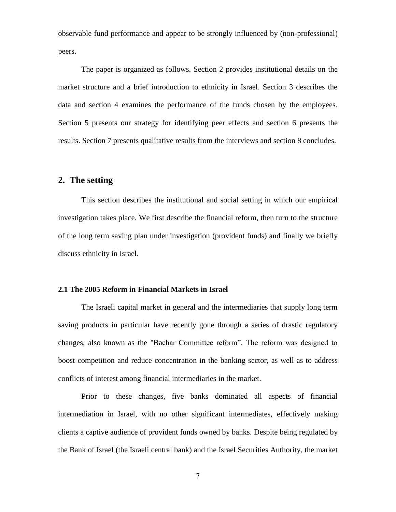observable fund performance and appear to be strongly influenced by (non-professional) peers.

The paper is organized as follows. Section 2 provides institutional details on the market structure and a brief introduction to ethnicity in Israel. Section 3 describes the data and section 4 examines the performance of the funds chosen by the employees. Section 5 presents our strategy for identifying peer effects and section 6 presents the results. Section 7 presents qualitative results from the interviews and section 8 concludes.

# **2. The setting**

This section describes the institutional and social setting in which our empirical investigation takes place. We first describe the financial reform, then turn to the structure of the long term saving plan under investigation (provident funds) and finally we briefly discuss ethnicity in Israel.

## **2.1 The 2005 Reform in Financial Markets in Israel**

The Israeli capital market in general and the intermediaries that supply long term saving products in particular have recently gone through a series of drastic regulatory changes, also known as the "Bachar Committee reform". The reform was designed to boost competition and reduce concentration in the banking sector, as well as to address conflicts of interest among financial intermediaries in the market.

Prior to these changes, five banks dominated all aspects of financial intermediation in Israel, with no other significant intermediates, effectively making clients a captive audience of provident funds owned by banks. Despite being regulated by the Bank of Israel (the Israeli central bank) and the Israel Securities Authority, the market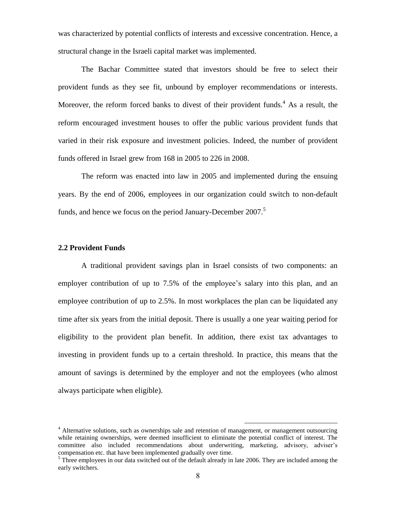was characterized by potential conflicts of interests and excessive concentration. Hence, a structural change in the Israeli capital market was implemented.

The Bachar Committee stated that investors should be free to select their provident funds as they see fit, unbound by employer recommendations or interests. Moreover, the reform forced banks to divest of their provident funds.<sup>4</sup> As a result, the reform encouraged investment houses to offer the public various provident funds that varied in their risk exposure and investment policies. Indeed, the number of provident funds offered in Israel grew from 168 in 2005 to 226 in 2008.

The reform was enacted into law in 2005 and implemented during the ensuing years. By the end of 2006, employees in our organization could switch to non-default funds, and hence we focus on the period January-December 2007.<sup>5</sup>

#### **2.2 Provident Funds**

A traditional provident savings plan in Israel consists of two components: an employer contribution of up to 7.5% of the employee's salary into this plan, and an employee contribution of up to 2.5%. In most workplaces the plan can be liquidated any time after six years from the initial deposit. There is usually a one year waiting period for eligibility to the provident plan benefit. In addition, there exist tax advantages to investing in provident funds up to a certain threshold. In practice, this means that the amount of savings is determined by the employer and not the employees (who almost always participate when eligible).

<sup>&</sup>lt;sup>4</sup> Alternative solutions, such as ownerships sale and retention of management, or management outsourcing while retaining ownerships, were deemed insufficient to eliminate the potential conflict of interest. The committee also included recommendations about underwriting, marketing, advisory, adviser's compensation etc. that have been implemented gradually over time.

 $<sup>5</sup>$  Three employees in our data switched out of the default already in late 2006. They are included among the</sup> early switchers.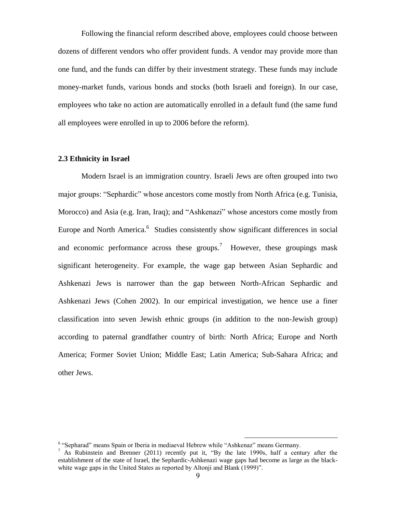Following the financial reform described above, employees could choose between dozens of different vendors who offer provident funds. A vendor may provide more than one fund, and the funds can differ by their investment strategy. These funds may include money-market funds, various bonds and stocks (both Israeli and foreign). In our case, employees who take no action are automatically enrolled in a default fund (the same fund all employees were enrolled in up to 2006 before the reform).

#### **2.3 Ethnicity in Israel**

Modern Israel is an immigration country. Israeli Jews are often grouped into two major groups: "Sephardic" whose ancestors come mostly from North Africa (e.g. Tunisia, Morocco) and Asia (e.g. Iran, Iraq); and "Ashkenazi" whose ancestors come mostly from Europe and North America.<sup>6</sup> Studies consistently show significant differences in social and economic performance across these groups.<sup>7</sup> However, these groupings mask significant heterogeneity. For example, the wage gap between Asian Sephardic and Ashkenazi Jews is narrower than the gap between North-African Sephardic and Ashkenazi Jews (Cohen 2002). In our empirical investigation, we hence use a finer classification into seven Jewish ethnic groups (in addition to the non-Jewish group) according to paternal grandfather country of birth: North Africa; Europe and North America; Former Soviet Union; Middle East; Latin America; Sub-Sahara Africa; and other Jews.

<sup>&</sup>lt;sup>6</sup> "Sepharad" means Spain or Iberia in mediaeval Hebrew while "Ashkenaz" means Germany.

<sup>&</sup>lt;sup>7</sup> As Rubinstein and Brenner (2011) recently put it, "By the late 1990s, half a century after the establishment of the state of Israel, the Sephardic-Ashkenazi wage gaps had become as large as the blackwhite wage gaps in the United States as reported by Altonii and Blank (1999)".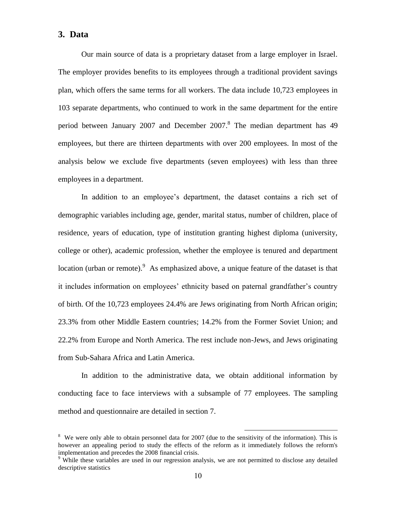## **3. Data**

Our main source of data is a proprietary dataset from a large employer in Israel. The employer provides benefits to its employees through a traditional provident savings plan, which offers the same terms for all workers. The data include 10,723 employees in 103 separate departments, who continued to work in the same department for the entire period between January 2007 and December 2007.<sup>8</sup> The median department has 49 employees, but there are thirteen departments with over 200 employees. In most of the analysis below we exclude five departments (seven employees) with less than three employees in a department.

In addition to an employee's department, the dataset contains a rich set of demographic variables including age, gender, marital status, number of children, place of residence, years of education, type of institution granting highest diploma (university, college or other), academic profession, whether the employee is tenured and department location (urban or remote).  $9$  As emphasized above, a unique feature of the dataset is that it includes information on employees' ethnicity based on paternal grandfather's country of birth. Of the 10,723 employees 24.4% are Jews originating from North African origin; 23.3% from other Middle Eastern countries; 14.2% from the Former Soviet Union; and 22.2% from Europe and North America. The rest include non-Jews, and Jews originating from Sub-Sahara Africa and Latin America.

In addition to the administrative data, we obtain additional information by conducting face to face interviews with a subsample of 77 employees. The sampling method and questionnaire are detailed in section 7.

<sup>&</sup>lt;sup>8</sup> We were only able to obtain personnel data for 2007 (due to the sensitivity of the information). This is however an appealing period to study the effects of the reform as it immediately follows the reform's implementation and precedes the 2008 financial crisis.

<sup>&</sup>lt;sup>9</sup> While these variables are used in our regression analysis, we are not permitted to disclose any detailed descriptive statistics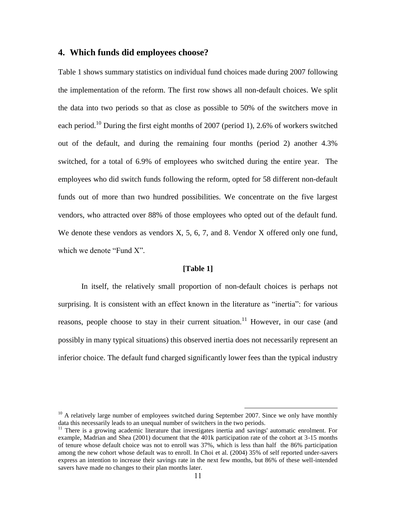## **4. Which funds did employees choose?**

Table 1 shows summary statistics on individual fund choices made during 2007 following the implementation of the reform. The first row shows all non-default choices. We split the data into two periods so that as close as possible to 50% of the switchers move in each period.<sup>10</sup> During the first eight months of 2007 (period 1), 2.6% of workers switched out of the default, and during the remaining four months (period 2) another 4.3% switched, for a total of 6.9% of employees who switched during the entire year. The employees who did switch funds following the reform, opted for 58 different non-default funds out of more than two hundred possibilities. We concentrate on the five largest vendors, who attracted over 88% of those employees who opted out of the default fund. We denote these vendors as vendors X, 5, 6, 7, and 8. Vendor X offered only one fund, which we denote "Fund X".

#### **[Table 1]**

In itself, the relatively small proportion of non-default choices is perhaps not surprising. It is consistent with an effect known in the literature as "inertia": for various reasons, people choose to stay in their current situation.<sup>11</sup> However, in our case (and possibly in many typical situations) this observed inertia does not necessarily represent an inferior choice. The default fund charged significantly lower fees than the typical industry

 $10$  A relatively large number of employees switched during September 2007. Since we only have monthly data this necessarily leads to an unequal number of switchers in the two periods.

 $11$  There is a growing academic literature that investigates inertia and savings' automatic enrolment. For example, Madrian and Shea (2001) document that the 401k participation rate of the cohort at 3-15 months of tenure whose default choice was not to enroll was 37%, which is less than half the 86% participation among the new cohort whose default was to enroll. In Choi et al. (2004) 35% of self reported under-savers express an intention to increase their savings rate in the next few months, but 86% of these well-intended savers have made no changes to their plan months later.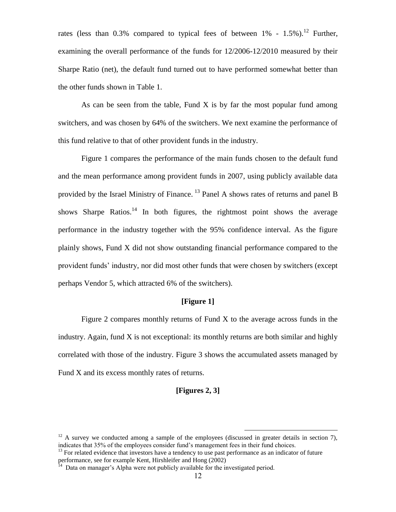rates (less than 0.3% compared to typical fees of between  $1\%$  - 1.5%).<sup>12</sup> Further, examining the overall performance of the funds for 12/2006-12/2010 measured by their Sharpe Ratio (net), the default fund turned out to have performed somewhat better than the other funds shown in Table 1.

As can be seen from the table, Fund X is by far the most popular fund among switchers, and was chosen by 64% of the switchers. We next examine the performance of this fund relative to that of other provident funds in the industry.

Figure 1 compares the performance of the main funds chosen to the default fund and the mean performance among provident funds in 2007, using publicly available data provided by the Israel Ministry of Finance.<sup>13</sup> Panel A shows rates of returns and panel B shows Sharpe Ratios.<sup>14</sup> In both figures, the rightmost point shows the average performance in the industry together with the 95% confidence interval. As the figure plainly shows, Fund X did not show outstanding financial performance compared to the provident funds' industry, nor did most other funds that were chosen by switchers (except perhaps Vendor 5, which attracted 6% of the switchers).

## **[Figure 1]**

Figure 2 compares monthly returns of Fund X to the average across funds in the industry. Again, fund  $X$  is not exceptional: its monthly returns are both similar and highly correlated with those of the industry. Figure 3 shows the accumulated assets managed by Fund X and its excess monthly rates of returns.

#### **[Figures 2, 3]**

 $12$  A survey we conducted among a sample of the employees (discussed in greater details in section 7), indicates that 35% of the employees consider fund's management fees in their fund choices.

 $13$  For related evidence that investors have a tendency to use past performance as an indicator of future performance, see for example Kent, Hirshleifer and Hong (2002)

 $14$  Data on manager's Alpha were not publicly available for the investigated period.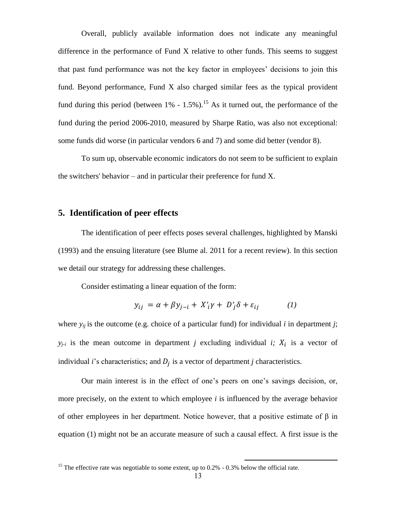Overall, publicly available information does not indicate any meaningful difference in the performance of Fund X relative to other funds. This seems to suggest that past fund performance was not the key factor in employees' decisions to join this fund. Beyond performance, Fund X also charged similar fees as the typical provident fund during this period (between  $1\%$  - 1.5%).<sup>15</sup> As it turned out, the performance of the fund during the period 2006-2010, measured by Sharpe Ratio, was also not exceptional: some funds did worse (in particular vendors 6 and 7) and some did better (vendor 8).

To sum up, observable economic indicators do not seem to be sufficient to explain the switchers' behavior – and in particular their preference for fund X.

# **5. Identification of peer effects**

The identification of peer effects poses several challenges, highlighted by Manski (1993) and the ensuing literature (see Blume al. 2011 for a recent review). In this section we detail our strategy for addressing these challenges.

Consider estimating a linear equation of the form:

$$
y_{ij} = \alpha + \beta y_{j-i} + X'_{i}\gamma + D'_{j}\delta + \varepsilon_{ij}
$$
 (1)

where  $y_{ij}$  is the outcome (e.g. choice of a particular fund) for individual *i* in department *j*;  $y_{j-i}$  is the mean outcome in department *j* excluding individual *i*;  $X_i$  is a vector of individual *i*'s characteristics; and  $D_i$  is a vector of department *j* characteristics.

Our main interest is in the effect of one's peers on one's savings decision, or, more precisely, on the extent to which employee *i* is influenced by the average behavior of other employees in her department. Notice however, that a positive estimate of β in equation (1) might not be an accurate measure of such a causal effect. A first issue is the

<sup>&</sup>lt;sup>15</sup> The effective rate was negotiable to some extent, up to 0.2% - 0.3% below the official rate.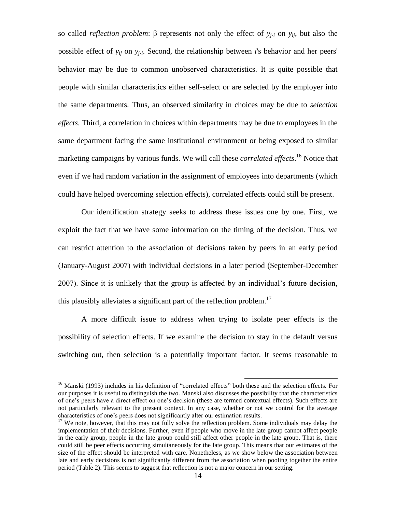so called *reflection problem*: β represents not only the effect of *yj-i* on *yij*, but also the possible effect of *yij* on *yj-i* . Second, the relationship between *i*'s behavior and her peers' behavior may be due to common unobserved characteristics. It is quite possible that people with similar characteristics either self-select or are selected by the employer into the same departments. Thus, an observed similarity in choices may be due to *selection effects*. Third, a correlation in choices within departments may be due to employees in the same department facing the same institutional environment or being exposed to similar marketing campaigns by various funds. We will call these *correlated effects*. <sup>16</sup> Notice that even if we had random variation in the assignment of employees into departments (which could have helped overcoming selection effects), correlated effects could still be present.

Our identification strategy seeks to address these issues one by one. First, we exploit the fact that we have some information on the timing of the decision. Thus, we can restrict attention to the association of decisions taken by peers in an early period (January-August 2007) with individual decisions in a later period (September-December 2007). Since it is unlikely that the group is affected by an individual's future decision, this plausibly alleviates a significant part of the reflection problem.<sup>17</sup>

A more difficult issue to address when trying to isolate peer effects is the possibility of selection effects. If we examine the decision to stay in the default versus switching out, then selection is a potentially important factor. It seems reasonable to

<sup>&</sup>lt;sup>16</sup> Manski (1993) includes in his definition of "correlated effects" both these and the selection effects. For our purposes it is useful to distinguish the two. Manski also discusses the possibility that the characteristics of one's peers have a direct effect on one's decision (these are termed contextual effects). Such effects are not particularly relevant to the present context. In any case, whether or not we control for the average characteristics of one's peers does not significantly alter our estimation results.

<sup>&</sup>lt;sup>17</sup> We note, however, that this may not fully solve the reflection problem. Some individuals may delay the implementation of their decisions. Further, even if people who move in the late group cannot affect people in the early group, people in the late group could still affect other people in the late group. That is, there could still be peer effects occurring simultaneously for the late group. This means that our estimates of the size of the effect should be interpreted with care. Nonetheless, as we show below the association between late and early decisions is not significantly different from the association when pooling together the entire period (Table 2). This seems to suggest that reflection is not a major concern in our setting.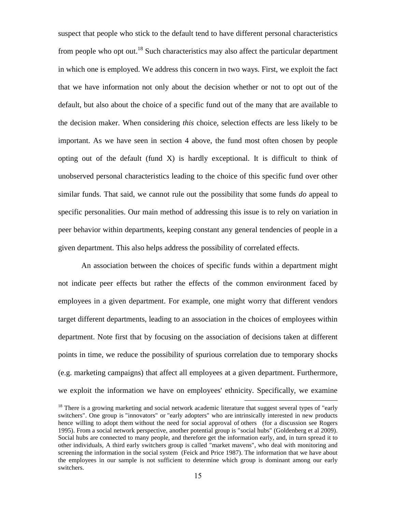suspect that people who stick to the default tend to have different personal characteristics from people who opt out.<sup>18</sup> Such characteristics may also affect the particular department in which one is employed. We address this concern in two ways. First, we exploit the fact that we have information not only about the decision whether or not to opt out of the default, but also about the choice of a specific fund out of the many that are available to the decision maker. When considering *this* choice, selection effects are less likely to be important. As we have seen in section 4 above, the fund most often chosen by people opting out of the default (fund X) is hardly exceptional. It is difficult to think of unobserved personal characteristics leading to the choice of this specific fund over other similar funds. That said, we cannot rule out the possibility that some funds *do* appeal to specific personalities. Our main method of addressing this issue is to rely on variation in peer behavior within departments, keeping constant any general tendencies of people in a given department. This also helps address the possibility of correlated effects.

An association between the choices of specific funds within a department might not indicate peer effects but rather the effects of the common environment faced by employees in a given department. For example, one might worry that different vendors target different departments, leading to an association in the choices of employees within department. Note first that by focusing on the association of decisions taken at different points in time, we reduce the possibility of spurious correlation due to temporary shocks (e.g. marketing campaigns) that affect all employees at a given department. Furthermore, we exploit the information we have on employees' ethnicity. Specifically, we examine

<sup>&</sup>lt;sup>18</sup> There is a growing marketing and social network academic literature that suggest several types of "early" switchers". One group is "innovators" or "early adopters" who are intrinsically interested in new products hence willing to adopt them without the need for social approval of others (for a discussion see Rogers 1995). From a social network perspective, another potential group is "social hubs" (Goldenberg et al 2009). Social hubs are connected to many people, and therefore get the information early, and, in turn spread it to other individuals, A third early switchers group is called "market mavens", who deal with monitoring and screening the information in the social system (Feick and Price 1987). The information that we have about the employees in our sample is not sufficient to determine which group is dominant among our early switchers.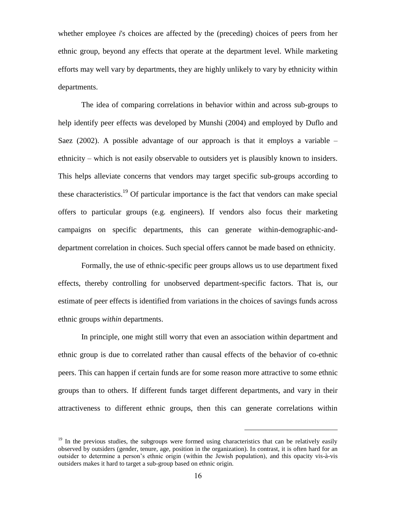whether employee *i*'s choices are affected by the (preceding) choices of peers from her ethnic group, beyond any effects that operate at the department level. While marketing efforts may well vary by departments, they are highly unlikely to vary by ethnicity within departments.

The idea of comparing correlations in behavior within and across sub-groups to help identify peer effects was developed by Munshi (2004) and employed by Duflo and Saez  $(2002)$ . A possible advantage of our approach is that it employs a variable – ethnicity – which is not easily observable to outsiders yet is plausibly known to insiders. This helps alleviate concerns that vendors may target specific sub-groups according to these characteristics.<sup>19</sup> Of particular importance is the fact that vendors can make special offers to particular groups (e.g. engineers). If vendors also focus their marketing campaigns on specific departments, this can generate within-demographic-anddepartment correlation in choices. Such special offers cannot be made based on ethnicity.

Formally, the use of ethnic-specific peer groups allows us to use department fixed effects, thereby controlling for unobserved department-specific factors. That is, our estimate of peer effects is identified from variations in the choices of savings funds across ethnic groups *within* departments.

In principle, one might still worry that even an association within department and ethnic group is due to correlated rather than causal effects of the behavior of co-ethnic peers. This can happen if certain funds are for some reason more attractive to some ethnic groups than to others. If different funds target different departments, and vary in their attractiveness to different ethnic groups, then this can generate correlations within

<sup>&</sup>lt;sup>19</sup> In the previous studies, the subgroups were formed using characteristics that can be relatively easily observed by outsiders (gender, tenure, age, position in the organization). In contrast, it is often hard for an outsider to determine a person's ethnic origin (within the Jewish population), and this opacity vis-à-vis outsiders makes it hard to target a sub-group based on ethnic origin.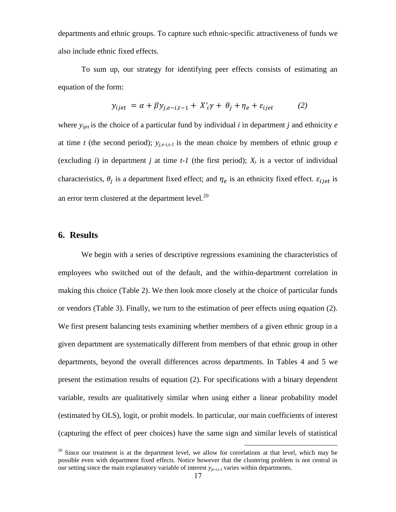departments and ethnic groups. To capture such ethnic-specific attractiveness of funds we also include ethnic fixed effects.

To sum up, our strategy for identifying peer effects consists of estimating an equation of the form:

$$
y_{ijet} = \alpha + \beta y_{j,e-i,t-1} + X_i' \gamma + \theta_j + \eta_e + \varepsilon_{ijet} \tag{2}
$$

where  $y_{ijet}$  is the choice of a particular fund by individual *i* in department *j* and ethnicity *e* at time *t* (the second period); *yj,e-i,t-1* is the mean choice by members of ethnic group *e* (excluding *i*) in department *j* at time  $t$ -1 (the first period);  $X_i$  is a vector of individual characteristics,  $\theta_i$  is a department fixed effect; and  $\eta_e$  is an ethnicity fixed effect.  $\varepsilon_{i, i}$  is an error term clustered at the department level. $^{20}$ 

# **6. Results**

We begin with a series of descriptive regressions examining the characteristics of employees who switched out of the default, and the within-department correlation in making this choice (Table 2). We then look more closely at the choice of particular funds or vendors (Table 3). Finally, we turn to the estimation of peer effects using equation (2). We first present balancing tests examining whether members of a given ethnic group in a given department are systematically different from members of that ethnic group in other departments, beyond the overall differences across departments. In Tables 4 and 5 we present the estimation results of equation (2). For specifications with a binary dependent variable, results are qualitatively similar when using either a linear probability model (estimated by OLS), logit, or probit models. In particular, our main coefficients of interest (capturing the effect of peer choices) have the same sign and similar levels of statistical

 $20$  Since our treatment is at the department level, we allow for correlations at that level, which may be possible even with department fixed effects. Notice however that the clustering problem is not central in our setting since the main explanatory variable of interest *yje-i,t-1* varies within departments.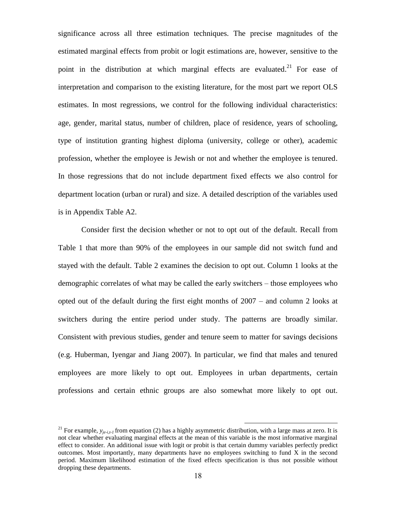significance across all three estimation techniques. The precise magnitudes of the estimated marginal effects from probit or logit estimations are, however, sensitive to the point in the distribution at which marginal effects are evaluated.<sup>21</sup> For ease of interpretation and comparison to the existing literature, for the most part we report OLS estimates. In most regressions, we control for the following individual characteristics: age, gender, marital status, number of children, place of residence, years of schooling, type of institution granting highest diploma (university, college or other), academic profession, whether the employee is Jewish or not and whether the employee is tenured. In those regressions that do not include department fixed effects we also control for department location (urban or rural) and size. A detailed description of the variables used is in Appendix Table A2.

Consider first the decision whether or not to opt out of the default. Recall from Table 1 that more than 90% of the employees in our sample did not switch fund and stayed with the default. Table 2 examines the decision to opt out. Column 1 looks at the demographic correlates of what may be called the early switchers – those employees who opted out of the default during the first eight months of 2007 – and column 2 looks at switchers during the entire period under study. The patterns are broadly similar. Consistent with previous studies, gender and tenure seem to matter for savings decisions (e.g. Huberman, Iyengar and Jiang 2007). In particular, we find that males and tenured employees are more likely to opt out. Employees in urban departments, certain professions and certain ethnic groups are also somewhat more likely to opt out.

<sup>&</sup>lt;sup>21</sup> For example,  $y_{i\ell-i,t}$  from equation (2) has a highly asymmetric distribution, with a large mass at zero. It is not clear whether evaluating marginal effects at the mean of this variable is the most informative marginal effect to consider. An additional issue with logit or probit is that certain dummy variables perfectly predict outcomes. Most importantly, many departments have no employees switching to fund X in the second period. Maximum likelihood estimation of the fixed effects specification is thus not possible without dropping these departments.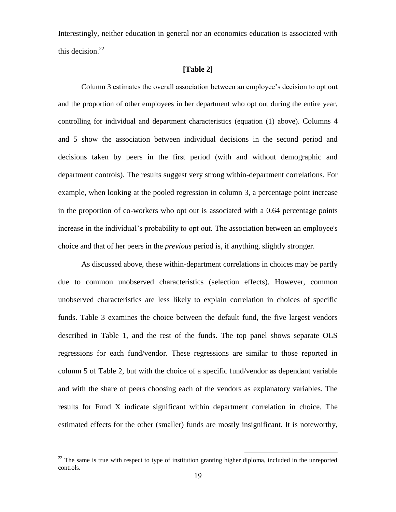Interestingly, neither education in general nor an economics education is associated with this decision. $^{22}$ 

#### **[Table 2]**

Column 3 estimates the overall association between an employee's decision to opt out and the proportion of other employees in her department who opt out during the entire year, controlling for individual and department characteristics (equation (1) above). Columns 4 and 5 show the association between individual decisions in the second period and decisions taken by peers in the first period (with and without demographic and department controls). The results suggest very strong within-department correlations. For example, when looking at the pooled regression in column 3, a percentage point increase in the proportion of co-workers who opt out is associated with a 0.64 percentage points increase in the individual's probability to opt out. The association between an employee's choice and that of her peers in the *previous* period is, if anything, slightly stronger.

As discussed above, these within-department correlations in choices may be partly due to common unobserved characteristics (selection effects). However, common unobserved characteristics are less likely to explain correlation in choices of specific funds. Table 3 examines the choice between the default fund, the five largest vendors described in Table 1, and the rest of the funds. The top panel shows separate OLS regressions for each fund/vendor. These regressions are similar to those reported in column 5 of Table 2, but with the choice of a specific fund/vendor as dependant variable and with the share of peers choosing each of the vendors as explanatory variables. The results for Fund X indicate significant within department correlation in choice. The estimated effects for the other (smaller) funds are mostly insignificant. It is noteworthy,

 $22$  The same is true with respect to type of institution granting higher diploma, included in the unreported controls.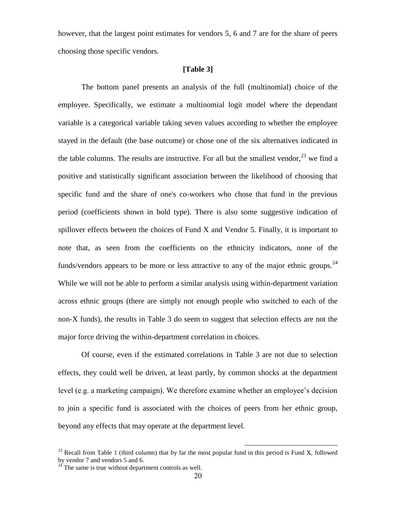however, that the largest point estimates for vendors 5, 6 and 7 are for the share of peers choosing those specific vendors.

### **[Table 3]**

The bottom panel presents an analysis of the full (multinomial) choice of the employee. Specifically, we estimate a multinomial logit model where the dependant variable is a categorical variable taking seven values according to whether the employee stayed in the default (the base outcome) or chose one of the six alternatives indicated in the table columns. The results are instructive. For all but the smallest vendor,  $^{23}$  we find a positive and statistically significant association between the likelihood of choosing that specific fund and the share of one's co-workers who chose that fund in the previous period (coefficients shown in bold type). There is also some suggestive indication of spillover effects between the choices of Fund X and Vendor 5. Finally, it is important to note that, as seen from the coefficients on the ethnicity indicators, none of the funds/vendors appears to be more or less attractive to any of the major ethnic groups.<sup>24</sup> While we will not be able to perform a similar analysis using within-department variation across ethnic groups (there are simply not enough people who switched to each of the non-X funds), the results in Table 3 do seem to suggest that selection effects are not the major force driving the within-department correlation in choices.

Of course, even if the estimated correlations in Table 3 are not due to selection effects, they could well be driven, at least partly, by common shocks at the department level (e.g. a marketing campaign). We therefore examine whether an employee's decision to join a specific fund is associated with the choices of peers from her ethnic group, beyond any effects that may operate at the department level.

<sup>&</sup>lt;sup>23</sup> Recall from Table 1 (third column) that by far the most popular fund in this period is Fund X, followed by vendor 7 and vendors 5 and 6.

 $24$  The same is true without department controls as well.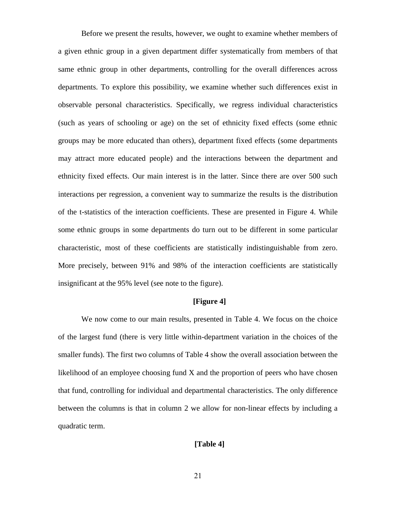Before we present the results, however, we ought to examine whether members of a given ethnic group in a given department differ systematically from members of that same ethnic group in other departments, controlling for the overall differences across departments. To explore this possibility, we examine whether such differences exist in observable personal characteristics. Specifically, we regress individual characteristics (such as years of schooling or age) on the set of ethnicity fixed effects (some ethnic groups may be more educated than others), department fixed effects (some departments may attract more educated people) and the interactions between the department and ethnicity fixed effects. Our main interest is in the latter. Since there are over 500 such interactions per regression, a convenient way to summarize the results is the distribution of the t-statistics of the interaction coefficients. These are presented in Figure 4. While some ethnic groups in some departments do turn out to be different in some particular characteristic, most of these coefficients are statistically indistinguishable from zero. More precisely, between 91% and 98% of the interaction coefficients are statistically insignificant at the 95% level (see note to the figure).

## **[Figure 4]**

We now come to our main results, presented in Table 4. We focus on the choice of the largest fund (there is very little within-department variation in the choices of the smaller funds). The first two columns of Table 4 show the overall association between the likelihood of an employee choosing fund X and the proportion of peers who have chosen that fund, controlling for individual and departmental characteristics. The only difference between the columns is that in column 2 we allow for non-linear effects by including a quadratic term.

# **[Table 4]**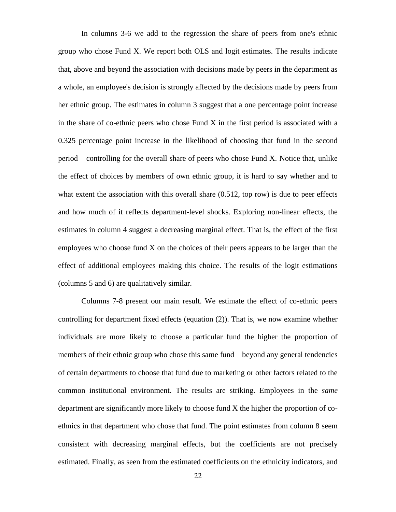In columns 3-6 we add to the regression the share of peers from one's ethnic group who chose Fund X. We report both OLS and logit estimates. The results indicate that, above and beyond the association with decisions made by peers in the department as a whole, an employee's decision is strongly affected by the decisions made by peers from her ethnic group. The estimates in column 3 suggest that a one percentage point increase in the share of co-ethnic peers who chose Fund X in the first period is associated with a 0.325 percentage point increase in the likelihood of choosing that fund in the second period – controlling for the overall share of peers who chose Fund X. Notice that, unlike the effect of choices by members of own ethnic group, it is hard to say whether and to what extent the association with this overall share  $(0.512,$  top row) is due to peer effects and how much of it reflects department-level shocks. Exploring non-linear effects, the estimates in column 4 suggest a decreasing marginal effect. That is, the effect of the first employees who choose fund X on the choices of their peers appears to be larger than the effect of additional employees making this choice. The results of the logit estimations (columns 5 and 6) are qualitatively similar.

Columns 7-8 present our main result. We estimate the effect of co-ethnic peers controlling for department fixed effects (equation (2)). That is, we now examine whether individuals are more likely to choose a particular fund the higher the proportion of members of their ethnic group who chose this same fund – beyond any general tendencies of certain departments to choose that fund due to marketing or other factors related to the common institutional environment. The results are striking. Employees in the *same* department are significantly more likely to choose fund X the higher the proportion of coethnics in that department who chose that fund. The point estimates from column 8 seem consistent with decreasing marginal effects, but the coefficients are not precisely estimated. Finally, as seen from the estimated coefficients on the ethnicity indicators, and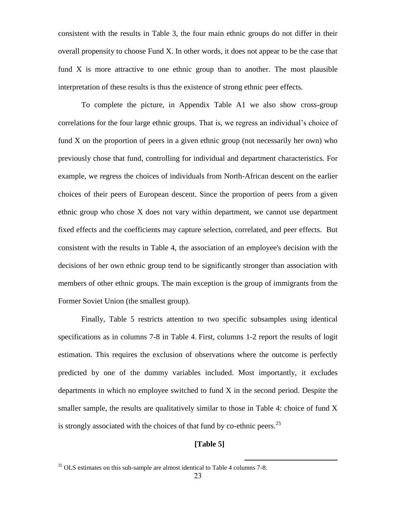consistent with the results in Table 3, the four main ethnic groups do not differ in their overall propensity to choose Fund X. In other words, it does not appear to be the case that fund X is more attractive to one ethnic group than to another. The most plausible interpretation of these results is thus the existence of strong ethnic peer effects.

To complete the picture, in Appendix Table A1 we also show cross-group correlations for the four large ethnic groups. That is, we regress an individual's choice of fund X on the proportion of peers in a given ethnic group (not necessarily her own) who previously chose that fund, controlling for individual and department characteristics. For example, we regress the choices of individuals from North-African descent on the earlier choices of their peers of European descent. Since the proportion of peers from a given ethnic group who chose X does not vary within department, we cannot use department fixed effects and the coefficients may capture selection, correlated, and peer effects. But consistent with the results in Table 4, the association of an employee's decision with the decisions of her own ethnic group tend to be significantly stronger than association with members of other ethnic groups. The main exception is the group of immigrants from the Former Soviet Union (the smallest group).

Finally, Table 5 restricts attention to two specific subsamples using identical specifications as in columns 7-8 in Table 4. First, columns 1-2 report the results of logit estimation. This requires the exclusion of observations where the outcome is perfectly predicted by one of the dummy variables included. Most importantly, it excludes departments in which no employee switched to fund X in the second period. Despite the smaller sample, the results are qualitatively similar to those in Table 4: choice of fund X is strongly associated with the choices of that fund by co-ethnic peers.<sup>25</sup>

# **[Table 5]**

 $^{25}$  OLS estimates on this sub-sample are almost identical to Table 4 columns 7-8.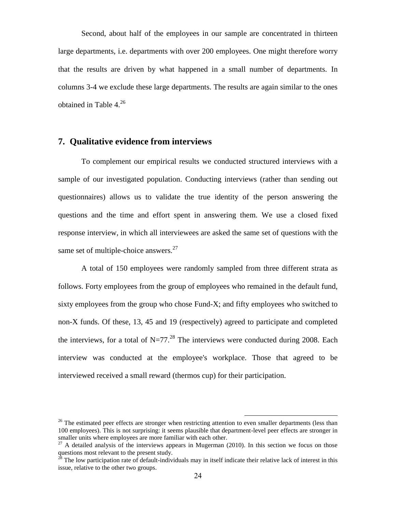Second, about half of the employees in our sample are concentrated in thirteen large departments, i.e. departments with over 200 employees. One might therefore worry that the results are driven by what happened in a small number of departments. In columns 3-4 we exclude these large departments. The results are again similar to the ones obtained in Table 4. 26

# **7. Qualitative evidence from interviews**

To complement our empirical results we conducted structured interviews with a sample of our investigated population. Conducting interviews (rather than sending out questionnaires) allows us to validate the true identity of the person answering the questions and the time and effort spent in answering them. We use a closed fixed response interview, in which all interviewees are asked the same set of questions with the same set of multiple-choice answers. $27$ 

A total of 150 employees were randomly sampled from three different strata as follows. Forty employees from the group of employees who remained in the default fund, sixty employees from the group who chose Fund-X; and fifty employees who switched to non-X funds. Of these, 13, 45 and 19 (respectively) agreed to participate and completed the interviews, for a total of  $N=77.^{28}$  The interviews were conducted during 2008. Each interview was conducted at the employee's workplace. Those that agreed to be interviewed received a small reward (thermos cup) for their participation.

<sup>&</sup>lt;sup>26</sup> The estimated peer effects are stronger when restricting attention to even smaller departments (less than 100 employees). This is not surprising: it seems plausible that department-level peer effects are stronger in smaller units where employees are more familiar with each other.

 $27$  A detailed analysis of the interviews appears in Mugerman (2010). In this section we focus on those questions most relevant to the present study.<br> $^{28}$  The low and the present study.

<sup>28</sup> The low participation rate of default-individuals may in itself indicate their relative lack of interest in this issue, relative to the other two groups.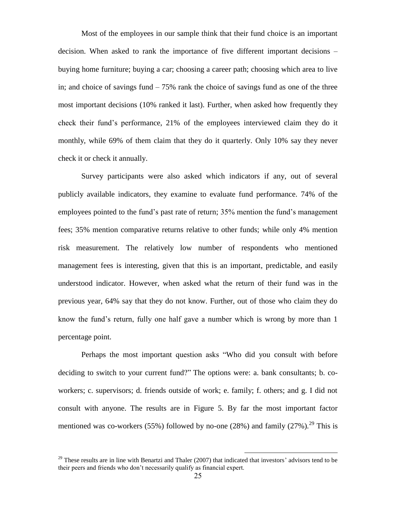Most of the employees in our sample think that their fund choice is an important decision. When asked to rank the importance of five different important decisions – buying home furniture; buying a car; choosing a career path; choosing which area to live in; and choice of savings fund – 75% rank the choice of savings fund as one of the three most important decisions (10% ranked it last). Further, when asked how frequently they check their fund's performance, 21% of the employees interviewed claim they do it monthly, while 69% of them claim that they do it quarterly. Only 10% say they never check it or check it annually.

Survey participants were also asked which indicators if any, out of several publicly available indicators, they examine to evaluate fund performance. 74% of the employees pointed to the fund's past rate of return; 35% mention the fund's management fees; 35% mention comparative returns relative to other funds; while only 4% mention risk measurement. The relatively low number of respondents who mentioned management fees is interesting, given that this is an important, predictable, and easily understood indicator. However, when asked what the return of their fund was in the previous year, 64% say that they do not know. Further, out of those who claim they do know the fund's return, fully one half gave a number which is wrong by more than 1 percentage point.

Perhaps the most important question asks "Who did you consult with before deciding to switch to your current fund?" The options were: a. bank consultants; b. coworkers; c. supervisors; d. friends outside of work; e. family; f. others; and g. I did not consult with anyone. The results are in Figure 5. By far the most important factor mentioned was co-workers (55%) followed by no-one (28%) and family (27%).<sup>29</sup> This is

 $^{29}$  These results are in line with Benartzi and Thaler (2007) that indicated that investors' advisors tend to be their peers and friends who don't necessarily qualify as financial expert.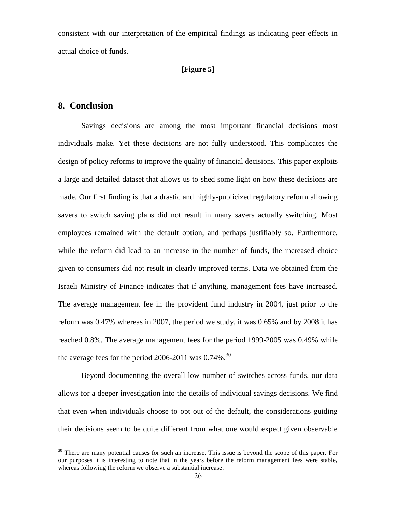consistent with our interpretation of the empirical findings as indicating peer effects in actual choice of funds.

#### **[Figure 5]**

# **8. Conclusion**

Savings decisions are among the most important financial decisions most individuals make. Yet these decisions are not fully understood. This complicates the design of policy reforms to improve the quality of financial decisions. This paper exploits a large and detailed dataset that allows us to shed some light on how these decisions are made. Our first finding is that a drastic and highly-publicized regulatory reform allowing savers to switch saving plans did not result in many savers actually switching. Most employees remained with the default option, and perhaps justifiably so. Furthermore, while the reform did lead to an increase in the number of funds, the increased choice given to consumers did not result in clearly improved terms. Data we obtained from the Israeli Ministry of Finance indicates that if anything, management fees have increased. The average management fee in the provident fund industry in 2004, just prior to the reform was 0.47% whereas in 2007, the period we study, it was 0.65% and by 2008 it has reached 0.8%. The average management fees for the period 1999-2005 was 0.49% while the average fees for the period 2006-2011 was  $0.74\%$ .<sup>30</sup>

Beyond documenting the overall low number of switches across funds, our data allows for a deeper investigation into the details of individual savings decisions. We find that even when individuals choose to opt out of the default, the considerations guiding their decisions seem to be quite different from what one would expect given observable

 $30$  There are many potential causes for such an increase. This issue is beyond the scope of this paper. For our purposes it is interesting to note that in the years before the reform management fees were stable, whereas following the reform we observe a substantial increase.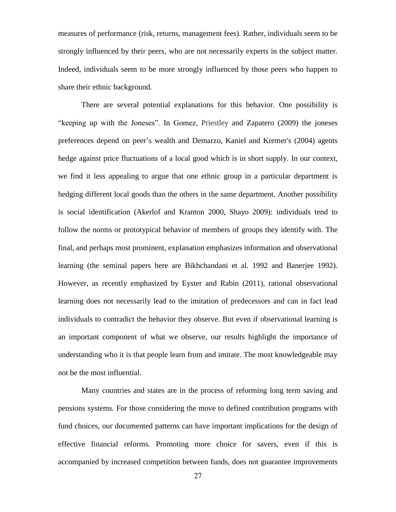measures of performance (risk, returns, management fees). Rather, individuals seem to be strongly influenced by their peers, who are not necessarily experts in the subject matter. Indeed, individuals seem to be more strongly influenced by those peers who happen to share their ethnic background.

There are several potential explanations for this behavior. One possibility is "keeping up with the Joneses". In Gomez, Priestley and Zapatero (2009) the joneses preferences depend on peer's wealth and Demarzo, Kaniel and Kremer's (2004) agents hedge against price fluctuations of a local good which is in short supply. In our context, we find it less appealing to argue that one ethnic group in a particular department is hedging different local goods than the others in the same department. Another possibility is social identification (Akerlof and Kranton 2000, Shayo 2009): individuals tend to follow the norms or prototypical behavior of members of groups they identify with. The final, and perhaps most prominent, explanation emphasizes information and observational learning (the seminal papers here are Bikhchandani et al. 1992 and Banerjee 1992). However, as recently emphasized by Eyster and Rabin (2011), rational observational learning does not necessarily lead to the imitation of predecessors and can in fact lead individuals to contradict the behavior they observe. But even if observational learning is an important component of what we observe, our results highlight the importance of understanding who it is that people learn from and imitate. The most knowledgeable may not be the most influential.

Many countries and states are in the process of reforming long term saving and pensions systems. For those considering the move to defined contribution programs with fund choices, our documented patterns can have important implications for the design of effective financial reforms. Promoting more choice for savers, even if this is accompanied by increased competition between funds, does not guarantee improvements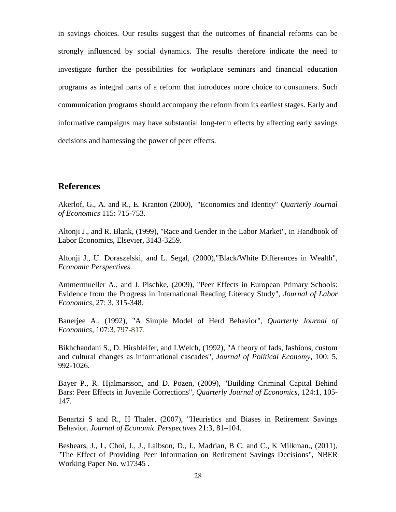in savings choices. Our results suggest that the outcomes of financial reforms can be strongly influenced by social dynamics. The results therefore indicate the need to investigate further the possibilities for workplace seminars and financial education programs as integral parts of a reform that introduces more choice to consumers. Such communication programs should accompany the reform from its earliest stages. Early and informative campaigns may have substantial long-term effects by affecting early savings decisions and harnessing the power of peer effects.

# **References**

Akerlof, G., A. and R., E. Kranton (2000), "Economics and Identity" *Quarterly Journal of Economics* 115: 715-753.

Altonji J., and R. Blank, (1999), "Race and Gender in the Labor Market", in Handbook of Labor Economics, Elsevier, 3143-3259.

Altonji J., U. Doraszelski, and L. Segal, (2000),"Black/White Differences in Wealth", *Economic Perspectives*.

Ammermueller A., and J. Pischke, (2009), "Peer Effects in European Primary Schools: Evidence from the Progress in International Reading Literacy Study", *Journal of Labor Economics*, 27: 3, 315-348.

Banerjee A., (1992), "A Simple Model of Herd Behavior"*, Quarterly Journal of Economics*, 107:3, 797-817.

Bikhchandani S., D. Hirshleifer, and I.Welch, (1992)*,* "A theory of fads, fashions, custom and cultural changes as informational cascades", *Journal of Political Economy*, 100: 5, 992-1026.

Bayer P., R. Hjalmarsson, and D. Pozen, (2009), "Building Criminal Capital Behind Bars: Peer Effects in Juvenile Corrections", *Quarterly Journal of Economics*, 124:1, 105- 147.

Benartzi S and R., H Thaler, (2007), "Heuristics and Biases in Retirement Savings Behavior. *Journal of Economic Perspectives* 21:3, 81–104.

Beshears, J., L, Choi, J., J., Laibson, D., I., Madrian, B C. and C., K Milkman., (2011), "The Effect of Providing Peer Information on Retirement Savings Decisions", NBER Working Paper No. w17345 .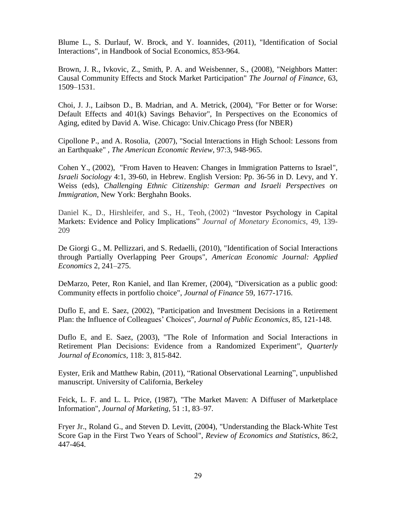Blume L., S. Durlauf, W. Brock, and Y. Ioannides, (2011), "Identification of Social Interactions", in Handbook of Social Economics, 853-964.

Brown, J. R., Ivkovic, Z., Smith, P. A. and Weisbenner, S., (2008), "Neighbors Matter: Causal Community Effects and Stock Market Participation" *The Journal of Finance*, 63, 1509–1531.

Choi, J. J., Laibson D., B. Madrian, and A. Metrick, (2004), "For Better or for Worse: Default Effects and 401(k) Savings Behavior", In Perspectives on the Economics of Aging, edited by David A. Wise. Chicago: Univ.Chicago Press (for NBER)

Cipollone P., and A. Rosolia, (2007), "Social Interactions in High School: Lessons from an Earthquake" *, The American Economic Review*, 97:3, 948-965.

Cohen Y., (200[2\),](http://spirit.tau.ac.il/Upload/LandW2002.pdf) "From Haven to Heaven: Changes in Immigration Patterns to Israel", *Israeli Sociology* 4:1, 39-60, in Hebrew. English Version: Pp. 36-56 in D. Levy, and Y. Weiss (eds), *Challenging Ethnic Citizenship: German and Israeli Perspectives on Immigration*, New York: Berghahn Books.

Daniel K., D., Hirshleifer, and S., H., Teoh, (2002) "Investor Psychology in Capital Markets: Evidence and Policy Implications" *Journal of Monetary Economics*, 49, 139- 209

De Giorgi G., M. Pellizzari, and S. Redaelli, (2010), "Identification of Social Interactions through Partially Overlapping Peer Groups", *American Economic Journal: Applied Economics* 2, 241–275.

DeMarzo, Peter, Ron Kaniel, and Ilan Kremer, (2004), "Diversication as a public good: Community effects in portfolio choice", *Journal of Finance* 59, 1677-1716.

Duflo E, and E. Saez, (2002), "Participation and Investment Decisions in a Retirement Plan: the Influence of Colleagues' Choices"*, Journal of Public Economics*, 85, 121-148.

Duflo E, and E. Saez, (2003), "The Role of Information and Social Interactions in Retirement Plan Decisions: Evidence from a Randomized Experiment", *Quarterly Journal of Economics*, 118: 3, 815-842.

Eyster, Erik and Matthew Rabin, (2011), "Rational Observational Learning", unpublished manuscript. University of California, Berkeley

Feick, L. F. and L. L. Price, (1987), "The Market Maven: A Diffuser of Marketplace Information", *Journal of Marketing*, 51 :1, 83–97.

Fryer Jr., Roland G., and Steven D. Levitt, (2004), "Understanding the Black-White Test Score Gap in the First Two Years of School", *Review of Economics and Statistics*, 86:2, 447-464.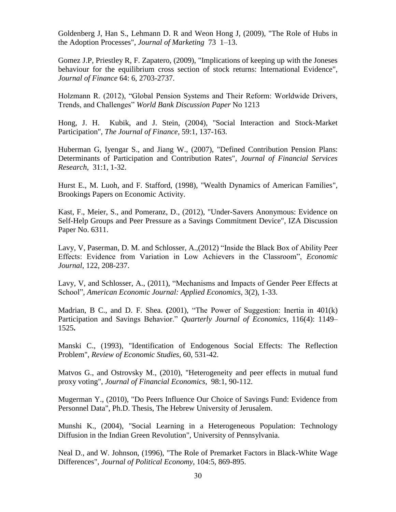Goldenberg J, Han S., Lehmann D. R and Weon Hong J, (2009), "The Role of Hubs in the Adoption Processes", *Journal of Marketing* 73 1–13.

Gomez J.P, Priestley R, F. Zapatero*,* (2009), "Implications of keeping up with the Joneses behaviour for the equilibrium cross section of stock returns: International Evidence", *Journal of Finance* 64: 6, 2703-2737.

Holzmann R. (2012), "Global Pension Systems and Their Reform: Worldwide Drivers, Trends, and Challenges" *World Bank Discussion Paper* No 1213

Hong, J. H. Kubik, and J. Stein, (2004)*,* "Social Interaction and Stock-Market Participation", *The Journal of Finance*, 59:1, 137-163.

Huberman G, Iyengar S., and Jiang W., (2007), "Defined Contribution Pension Plans: Determinants of Participation and Contribution Rates"*, Journal of Financial Services Research*, 31:1, 1-32.

Hurst E., M. Luoh, and F. Stafford, (1998), "Wealth Dynamics of American Families", Brookings Papers on Economic Activity.

Kast, F., Meier, S., and Pomeranz, D., (2012), "Under-Savers Anonymous: Evidence on Self-Help Groups and Peer Pressure as a Savings Commitment Device", IZA Discussion Paper No. 6311.

Lavy, V, Paserman, D. M. and Schlosser, A.,(2012) "Inside the Black Box of Ability Peer Effects: Evidence from Variation in Low Achievers in the Classroom", *Economic Journal*, 122, 208-237.

Lavy, V, and Schlosser, A., (2011), "Mechanisms and Impacts of Gender Peer Effects at School", *American Economic Journal: Applied Economics*, 3(2), 1-33.

Madrian, B C., and D. F. Shea. **(**2001), "The Power of Suggestion: Inertia in 401(k) Participation and Savings Behavior." *Quarterly Journal of Economics,* 116(4): 1149– 1525**.**

Manski C., (1993), "Identification of Endogenous Social Effects: The Reflection Problem", *Review of Economic Studies*, 60, 531-42.

Matvos G., and Ostrovsky M., (2010), "Heterogeneity and peer effects in mutual fund proxy voting", *Journal of Financial Economics*, 98:1, 90-112.

Mugerman Y., (2010), "Do Peers Influence Our Choice of Savings Fund: Evidence from Personnel Data", Ph.D. Thesis, The Hebrew University of Jerusalem.

Munshi K., (2004), "Social Learning in a Heterogeneous Population: Technology Diffusion in the Indian Green Revolution", University of Pennsylvania.

Neal D., and W. Johnson, (1996), "The Role of Premarket Factors in Black-White Wage Differences", *Journal of Political Economy*, 104:5, 869-895.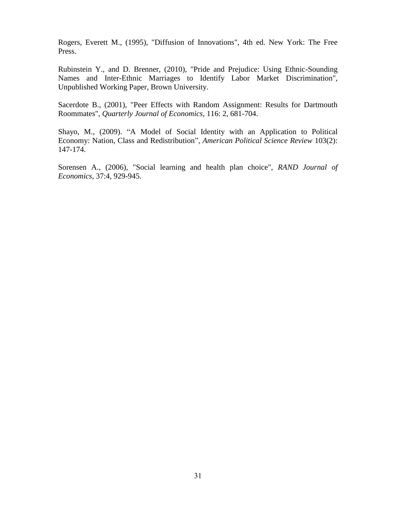Rogers, Everett M., (1995), "Diffusion of Innovations", 4th ed. New York: The Free Press.

Rubinstein Y., and D. Brenner, (2010), "Pride and Prejudice: Using Ethnic-Sounding Names and Inter-Ethnic Marriages to Identify Labor Market Discrimination", Unpublished Working Paper, Brown University.

Sacerdote B., (2001), "Peer Effects with Random Assignment: Results for Dartmouth Roommates", *Quarterly Journal of Economics*, 116: 2, 681-704.

Shayo, M., (2009). "A Model of Social Identity with an Application to Political Economy: Nation, Class and Redistribution", *American Political Science Review* 103(2): 147-174.

Sorensen A., (2006), "Social learning and health plan choice", *RAND Journal of Economics*, 37:4, 929-945.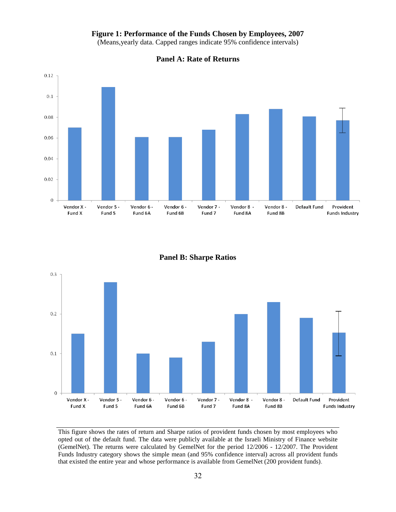#### **Figure 1: Performance of the Funds Chosen by Employees, 2007**

(Means,yearly data. Capped ranges indicate 95% confidence intervals)



**Panel A: Rate of Returns**

**Panel B: Sharpe Ratios**



This figure shows the rates of return and Sharpe ratios of provident funds chosen by most employees who opted out of the default fund. The data were publicly available at the Israeli Ministry of Finance website (GemelNet). The returns were calculated by GemelNet for the period 12/2006 - 12/2007. The Provident Funds Industry category shows the simple mean (and 95% confidence interval) across all provident funds that existed the entire year and whose performance is available from GemelNet (200 provident funds).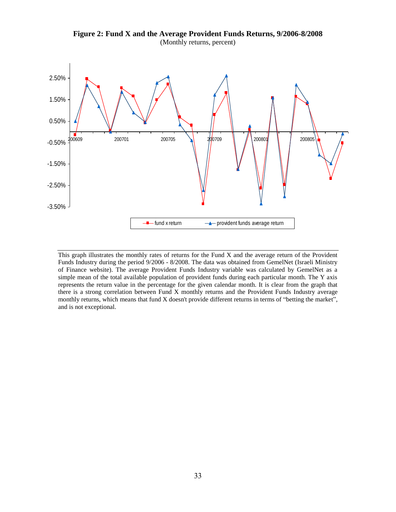

**Figure 2: Fund X and the Average Provident Funds Returns, 9/2006-8/2008** (Monthly returns, percent)

This graph illustrates the monthly rates of returns for the Fund X and the average return of the Provident Funds Industry during the period 9/2006 - 8/2008. The data was obtained from GemelNet (Israeli Ministry of Finance website). The average Provident Funds Industry variable was calculated by GemelNet as a simple mean of the total available population of provident funds during each particular month. The Y axis represents the return value in the percentage for the given calendar month. It is clear from the graph that there is a strong correlation between Fund X monthly returns and the Provident Funds Industry average monthly returns, which means that fund X doesn't provide different returns in terms of "betting the market", and is not exceptional.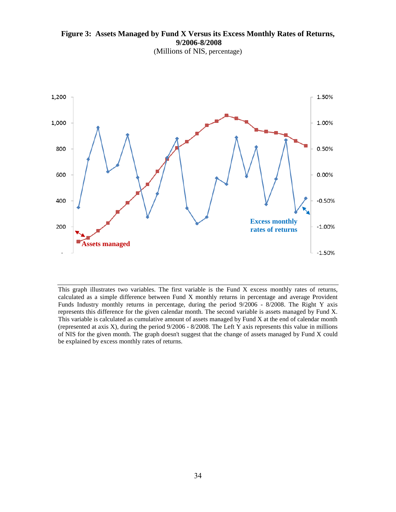**Figure 3: Assets Managed by Fund X Versus its Excess Monthly Rates of Returns, 9/2006-8/2008**

(Millions of NIS, percentage)



This graph illustrates two variables. The first variable is the Fund X excess monthly rates of returns, calculated as a simple difference between Fund X monthly returns in percentage and average Provident Funds Industry monthly returns in percentage, during the period 9/2006 - 8/2008. The Right Y axis represents this difference for the given calendar month. The second variable is assets managed by Fund X. This variable is calculated as cumulative amount of assets managed by Fund X at the end of calendar month (represented at axis X), during the period 9/2006 - 8/2008. The Left Y axis represents this value in millions of NIS for the given month. The graph doesn't suggest that the change of assets managed by Fund X could be explained by excess monthly rates of returns.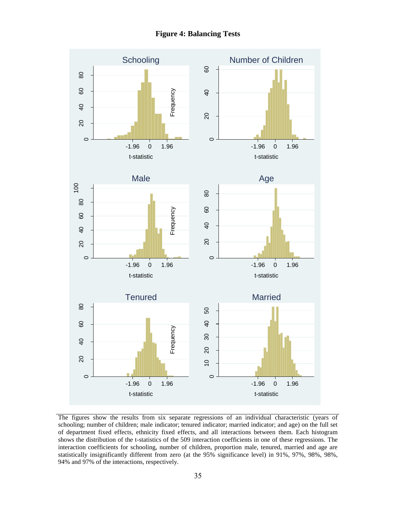**Figure 4: Balancing Tests**



The figures show the results from six separate regressions of an individual characteristic (years of schooling; number of children; male indicator; tenured indicator; married indicator; and age) on the full set of department fixed effects, ethnicity fixed effects, and all interactions between them. Each histogram shows the distribution of the t-statistics of the 509 interaction coefficients in one of these regressions. The interaction coefficients for schooling, number of children, proportion male, tenured, married and age are statistically insignificantly different from zero (at the 95% significance level) in 91%, 97%, 98%, 98%, 94% and 97% of the interactions, respectively.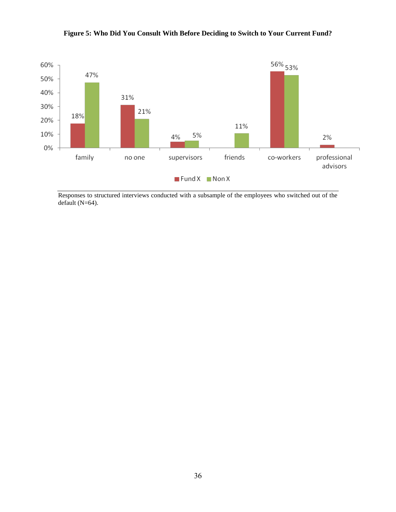

# **Figure 5: Who Did You Consult With Before Deciding to Switch to Your Current Fund?**

Responses to structured interviews conducted with a subsample of the employees who switched out of the default (N=64).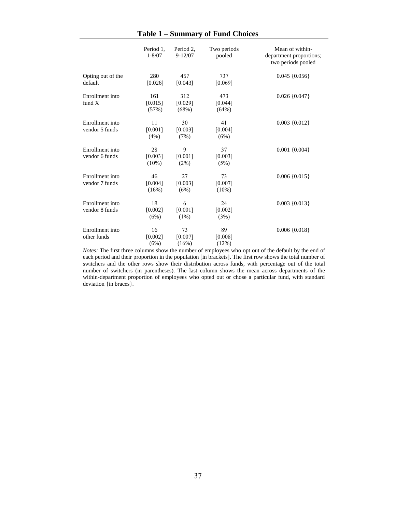|                                   | Period 1.<br>$1 - 8/07$   | Period 2,<br>$9 - 12/07$   | Two periods<br>pooled     | Mean of within-<br>department proportions;<br>two periods pooled |
|-----------------------------------|---------------------------|----------------------------|---------------------------|------------------------------------------------------------------|
| Opting out of the<br>default      | 280<br>[0.026]            | 457<br>[0.043]             | 737<br>[0.069]            | $0.045 \{0.056\}$                                                |
| Enrollment into<br>fund $X$       | 161<br>[0.015]<br>(57%)   | 312<br>[0.029]<br>$(68\%)$ | 473<br>[0.044]<br>(64%)   | $0.026\{0.047\}$                                                 |
| Enrollment into<br>vendor 5 funds | 11<br>[0.001]<br>(4%)     | 30<br>[0.003]<br>(7%)      | 41<br>[0.004]<br>(6%)     | $0.003 \{0.012\}$                                                |
| Enrollment into<br>vendor 6 funds | 28<br>[0.003]<br>$(10\%)$ | 9<br>[0.001]<br>(2%)       | 37<br>[0.003]<br>(5%)     | $0.001 \{0.004\}$                                                |
| Enrollment into<br>vendor 7 funds | 46<br>[0.004]<br>(16%)    | 27<br>[0.003]<br>(6%)      | 73<br>[0.007]<br>$(10\%)$ | $0.006 \{0.015\}$                                                |
| Enrollment into<br>vendor 8 funds | 18<br>[0.002]<br>(6%)     | 6<br>[0.001]<br>$(1\%)$    | 24<br>[0.002]<br>(3%)     | $0.003 \{0.013\}$                                                |
| Enrollment into<br>other funds    | 16<br>[0.002]<br>(6%)     | 73<br>[0.007]<br>(16%)     | 89<br>[0.008]<br>(12%)    | $0.006 \{0.018\}$                                                |

**Table 1 – Summary of Fund Choices**

*Notes:* The first three columns show the number of employees who opt out of the default by the end of each period and their proportion in the population [in brackets]. The first row shows the total number of switchers and the other rows show their distribution across funds, with percentage out of the total number of switchers (in parentheses). The last column shows the mean across departments of the within-department proportion of employees who opted out or chose a particular fund, with standard deviation {in braces}.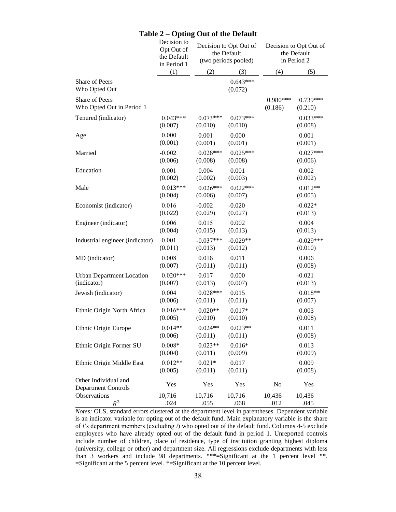#### **Table 2 – Opting Out of the Default**

|                                                    | Decision to<br>Opt Out of<br>the Default<br>in Period 1 | Decision to Opt Out of<br>the Default<br>(two periods pooled) |                       | Decision to Opt Out of<br>the Default<br>in Period 2 |                        |
|----------------------------------------------------|---------------------------------------------------------|---------------------------------------------------------------|-----------------------|------------------------------------------------------|------------------------|
|                                                    | (1)                                                     | (2)                                                           | (3)                   | (4)                                                  | (5)                    |
| Share of Peers<br>Who Opted Out                    |                                                         |                                                               | $0.643***$<br>(0.072) |                                                      |                        |
| Share of Peers<br>Who Opted Out in Period 1        |                                                         |                                                               |                       | $0.980***$<br>(0.186)                                | 0.739***<br>(0.210)    |
| Tenured (indicator)                                | $0.043***$<br>(0.007)                                   | $0.073***$<br>(0.010)                                         | $0.073***$<br>(0.010) |                                                      | $0.033***$<br>(0.008)  |
| Age                                                | 0.000<br>(0.001)                                        | 0.001<br>(0.001)                                              | 0.000<br>(0.001)      |                                                      | 0.001<br>(0.001)       |
| Married                                            | $-0.002$<br>(0.006)                                     | $0.026***$<br>(0.008)                                         | $0.025***$<br>(0.008) |                                                      | $0.027***$<br>(0.006)  |
| Education                                          | 0.001<br>(0.002)                                        | 0.004<br>(0.002)                                              | 0.001<br>(0.003)      |                                                      | 0.002<br>(0.002)       |
| Male                                               | $0.013***$<br>(0.004)                                   | $0.026***$<br>(0.006)                                         | $0.022***$<br>(0.007) |                                                      | $0.012**$<br>(0.005)   |
| Economist (indicator)                              | 0.016<br>(0.022)                                        | $-0.002$<br>(0.029)                                           | $-0.020$<br>(0.027)   |                                                      | $-0.022*$<br>(0.013)   |
| Engineer (indicator)                               | 0.006<br>(0.004)                                        | 0.015<br>(0.015)                                              | 0.002<br>(0.013)      |                                                      | 0.004<br>(0.013)       |
| Industrial engineer (indicator)                    | $-0.001$<br>(0.011)                                     | $-0.037***$<br>(0.013)                                        | $-0.029**$<br>(0.012) |                                                      | $-0.029***$<br>(0.010) |
| MD (indicator)                                     | 0.008<br>(0.007)                                        | 0.016<br>(0.011)                                              | 0.011<br>(0.011)      |                                                      | 0.006<br>(0.008)       |
| <b>Urban Department Location</b><br>(indicator)    | $0.020***$<br>(0.007)                                   | 0.017<br>(0.013)                                              | 0.000<br>(0.007)      |                                                      | $-0.021$<br>(0.013)    |
| Jewish (indicator)                                 | 0.004<br>(0.006)                                        | $0.028***$<br>(0.011)                                         | 0.015<br>(0.011)      |                                                      | $0.018**$<br>(0.007)   |
| Ethnic Origin North Africa                         | $0.016***$<br>(0.005)                                   | $0.020**$<br>(0.010)                                          | $0.017*$<br>(0.010)   |                                                      | 0.003<br>(0.008)       |
| Ethnic Origin Europe                               | $0.014**$<br>(0.006)                                    | $0.024**$<br>(0.011)                                          | $0.023**$<br>(0.011)  |                                                      | 0.011<br>(0.008)       |
| Ethnic Origin Former SU                            | $0.008*$<br>(0.004)                                     | $0.023**$<br>(0.011)                                          | $0.016*$<br>(0.009)   |                                                      | 0.013<br>(0.009)       |
| Ethnic Origin Middle East                          | $0.012**$<br>(0.005)                                    | $0.021*$<br>(0.011)                                           | 0.017<br>(0.011)      |                                                      | 0.009<br>(0.008)       |
| Other Individual and<br><b>Department Controls</b> | Yes                                                     | Yes                                                           | Yes                   | No                                                   | Yes                    |
| Observations<br>$R^2$                              | 10,716<br>.024                                          | 10,716<br>.055                                                | 10,716<br>.068        | 10,436<br>.012                                       | 10,436<br>.045         |

*Notes:* OLS, standard errors clustered at the department level in parentheses. Dependent variable is an indicator variable for opting out of the default fund. Main explanatory variable is the share of *i*'s department members (excluding *i*) who opted out of the default fund. Columns 4-5 exclude employees who have already opted out of the default fund in period 1. Unreported controls include number of children, place of residence, type of institution granting highest diploma (university, college or other) and department size. All regressions exclude departments with less than 3 workers and include 98 departments. \*\*\*=Significant at the 1 percent level \*\*.  $=$ Significant at the 5 percent level. \* $=$ Significant at the 10 percent level.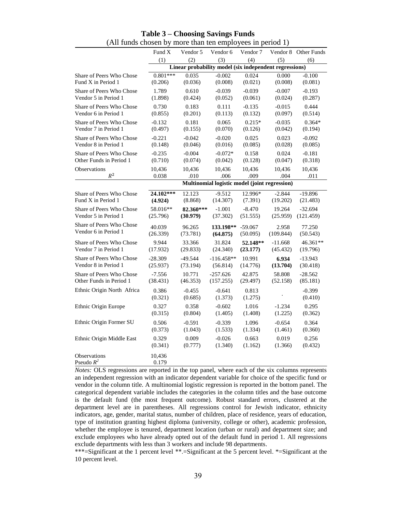|                              | Fund X                                        | Vendor 5                                               | Vendor 6            | Vendor 7         |           | Vendor 8 Other Funds |  |
|------------------------------|-----------------------------------------------|--------------------------------------------------------|---------------------|------------------|-----------|----------------------|--|
|                              | (1)                                           | (2)                                                    | (3)                 | (4)              | (5)       | (6)                  |  |
|                              |                                               | Linear probability model (six independent regressions) |                     |                  |           |                      |  |
| Share of Peers Who Chose     | $0.801***$                                    | 0.035                                                  | $-0.002$            | 0.024            | 0.000     | $-0.100$             |  |
| Fund X in Period 1           | (0.206)                                       | (0.036)                                                | (0.008)             | (0.021)          | (0.008)   | (0.081)              |  |
| Share of Peers Who Chose     | 1.789                                         | 0.610                                                  | $-0.039$            | $-0.039$         | $-0.007$  | $-0.193$             |  |
| Vendor 5 in Period 1         | (1.898)                                       | (0.424)                                                | (0.052)             | (0.061)          | (0.024)   | (0.287)              |  |
| Share of Peers Who Chose     | 0.730                                         | 0.183                                                  | 0.111               | $-0.135$         | $-0.015$  | 0.444                |  |
| Vendor 6 in Period 1         | (0.855)                                       | (0.201)                                                | (0.113)             | (0.132)          | (0.097)   | (0.514)              |  |
| Share of Peers Who Chose     | $-0.132$                                      | 0.181                                                  | 0.065               | $0.215*$         | $-0.035$  | $0.364*$             |  |
| Vendor 7 in Period 1         | (0.497)                                       | (0.155)                                                | (0.070)             | (0.126)          | (0.042)   | (0.194)              |  |
| Share of Peers Who Chose     | $-0.221$                                      | $-0.042$                                               | $-0.020$            | 0.025            | 0.023     | $-0.092$             |  |
| Vendor 8 in Period 1         | (0.148)                                       | (0.046)                                                | (0.016)             | (0.085)          | (0.028)   | (0.085)              |  |
| Share of Peers Who Chose     | $-0.235$                                      | $-0.004$                                               | $-0.072*$           | 0.158            | 0.024     | $-0.181$             |  |
| Other Funds in Period 1      | (0.710)                                       | (0.074)                                                | (0.042)             | (0.128)          | (0.047)   | (0.318)              |  |
| Observations                 | 10,436                                        | 10,436                                                 | 10,436              | 10,436           | 10,436    | 10,436               |  |
| $R^2$                        | 0.038                                         | .010                                                   | .006                | .009             | .004      | .011                 |  |
|                              | Multinomial logistic model (joint regression) |                                                        |                     |                  |           |                      |  |
| Share of Peers Who Chose     | 24.102***                                     | 12.123                                                 | $-9.512$            | 12.996*          | $-2.844$  | $-19.896$            |  |
| Fund X in Period 1           | (4.924)                                       | (8.868)                                                | (14.307)            | (7.391)          | (19.202)  | (21.483)             |  |
| Share of Peers Who Chose     | 58.016**                                      | 82.360***                                              | $-1.001$            | $-8.470$         | 19.264    | $-32.694$            |  |
| Vendor 5 in Period 1         | (25.796)                                      | (30.979)                                               | (37.302)            | (51.555)         | (25.959)  | (121.459)            |  |
| Share of Peers Who Chose     | 40.039                                        | 96.265                                                 | 133.198**           | $-59.067$        | 2.958     | 77.250               |  |
| Vendor 6 in Period 1         | (26.339)                                      | (73.781)                                               | (64.875)            | (50.095)         | (109.844) | (50.543)             |  |
| Share of Peers Who Chose     | 9.944                                         | 33.366                                                 | 31.824              | 52.148**         | $-11.668$ | 46.361**             |  |
| Vendor 7 in Period 1         | (17.932)                                      | (29.833)                                               | (24.340)            | (23.177)         | (45.432)  | (19.796)             |  |
| Share of Peers Who Chose     | $-28.309$                                     | $-49.544$                                              | $-116.458**$        | 10.991           | 6.934     | $-13.943$            |  |
| Vendor 8 in Period 1         | (25.937)                                      | (73.194)                                               | (56.814)            | (14.776)         | (13.704)  | (30.418)             |  |
| Share of Peers Who Chose     | $-7.556$                                      | 10.771                                                 | $-257.626$          | 42.875           | 58.808    | $-28.562$            |  |
| Other Funds in Period 1      | (38.431)                                      | (46.353)                                               | (157.255)           | (29.497)         | (52.158)  | (85.181)             |  |
| Ethnic Origin North Africa   | 0.386<br>(0.321)                              | $-0.455$<br>(0.685)                                    | $-0.641$<br>(1.373) | 0.813<br>(1.275) |           | $-0.399$<br>(0.410)  |  |
| Ethnic Origin Europe         | 0.327                                         | 0.358                                                  | $-0.602$            | 1.016            | $-1.234$  | 0.295                |  |
|                              | (0.315)                                       | (0.804)                                                | (1.405)             | (1.408)          | (1.225)   | (0.362)              |  |
| Ethnic Origin Former SU      | 0.506                                         | $-0.591$                                               | $-0.339$            | 1.096            | $-0.654$  | 0.364                |  |
|                              | (0.373)                                       | (1.043)                                                | (1.533)             | (1.334)          | (1.461)   | (0.360)              |  |
| Ethnic Origin Middle East    | 0.329                                         | 0.009                                                  | $-0.026$            | 0.663            | 0.019     | 0.256                |  |
|                              | (0.341)                                       | (0.777)                                                | (1.340)             | (1.162)          | (1.366)   | (0.432)              |  |
| Observations<br>Pseudo $R^2$ | 10,436<br>0.179                               |                                                        |                     |                  |           |                      |  |

#### **Table 3 – Choosing Savings Funds** (All funds chosen by more than ten employees in period 1)

*Notes:* OLS regressions are reported in the top panel, where each of the six columns represents an independent regression with an indicator dependent variable for choice of the specific fund or vendor in the column title. A multinomial logistic regression is reported in the bottom panel. The categorical dependent variable includes the categories in the column titles and the base outcome is the default fund (the most frequent outcome). Robust standard errors, clustered at the department level are in parentheses. All regressions control for Jewish indicator, ethnicity indicators, age, gender, marital status, number of children, place of residence, years of education, type of institution granting highest diploma (university, college or other), academic profession, whether the employee is tenured, department location (urban or rural) and department size; and exclude employees who have already opted out of the default fund in period 1. All regressions exclude departments with less than 3 workers and include 98 departments.

\*\*\*=Significant at the 1 percent level \*\*.=Significant at the 5 percent level. \*=Significant at the 10 percent level.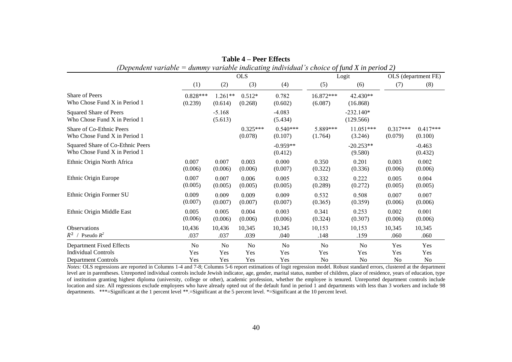| (Dependent variable = dummy variable indicating individual's choice of fund X in period 2) |                       |                      |                       |                       |                      |                          |                       |                       |
|--------------------------------------------------------------------------------------------|-----------------------|----------------------|-----------------------|-----------------------|----------------------|--------------------------|-----------------------|-----------------------|
|                                                                                            | <b>OLS</b>            |                      |                       | Logit                 |                      | OLS (department FE)      |                       |                       |
|                                                                                            | (1)                   | (2)                  | (3)                   | (4)                   | (5)                  | (6)                      | (7)                   | (8)                   |
| Share of Peers<br>Who Chose Fund X in Period 1                                             | $0.828***$<br>(0.239) | $1.261**$<br>(0.614) | $0.512*$<br>(0.268)   | 0.782<br>(0.602)      | 16.872***<br>(6.087) | $42.430**$<br>(16.868)   |                       |                       |
| <b>Squared Share of Peers</b><br>Who Chose Fund X in Period 1                              |                       | $-5.168$<br>(5.613)  |                       | $-4.083$<br>(5.434)   |                      | $-232.140*$<br>(129.566) |                       |                       |
| Share of Co-Ethnic Peers<br>Who Chose Fund X in Period 1                                   |                       |                      | $0.325***$<br>(0.078) | $0.540***$<br>(0.107) | 5.889***<br>(1.764)  | $11.051***$<br>(3.246)   | $0.317***$<br>(0.079) | $0.417***$<br>(0.100) |
| Squared Share of Co-Ethnic Peers<br>Who Chose Fund X in Period 1                           |                       |                      |                       | $-0.959**$<br>(0.412) |                      | $-20.253**$<br>(9.580)   |                       | $-0.463$<br>(0.432)   |
| Ethnic Origin North Africa                                                                 | 0.007<br>(0.006)      | 0.007<br>(0.006)     | 0.003<br>(0.006)      | 0.000<br>(0.007)      | 0.350<br>(0.322)     | 0.201<br>(0.336)         | 0.003<br>(0.006)      | 0.002<br>(0.006)      |
| Ethnic Origin Europe                                                                       | 0.007<br>(0.005)      | 0.007<br>(0.005)     | 0.006<br>(0.005)      | 0.005<br>(0.005)      | 0.332<br>(0.289)     | 0.222<br>(0.272)         | 0.005<br>(0.005)      | 0.004<br>(0.005)      |
| Ethnic Origin Former SU                                                                    | 0.009<br>(0.007)      | 0.009<br>(0.007)     | 0.009<br>(0.007)      | 0.009<br>(0.007)      | 0.532<br>(0.365)     | 0.508<br>(0.359)         | 0.007<br>(0.006)      | 0.007<br>(0.006)      |
| Ethnic Origin Middle East                                                                  | 0.005<br>(0.006)      | 0.005<br>(0.006)     | 0.004<br>(0.006)      | 0.003<br>(0.006)      | 0.341<br>(0.324)     | 0.253<br>(0.307)         | 0.002<br>(0.006)      | 0.001<br>(0.006)      |
| <b>Observations</b><br>$R^2$ / Pseudo $R^2$                                                | 10,436<br>.037        | 10,436<br>.037       | 10,345<br>.039        | 10,345<br>.040        | 10,153<br>.148       | 10,153<br>.159           | 10,345<br>.060        | 10,345<br>.060        |
| <b>Department Fixed Effects</b><br><b>Individual Controls</b>                              | No<br>Yes             | No<br>Yes            | No<br>Yes             | N <sub>o</sub><br>Yes | No<br>Yes            | N <sub>o</sub><br>Yes    | Yes<br>Yes            | Yes<br>Yes            |
| <b>Department Controls</b>                                                                 | Yes                   | Yes                  | Yes                   | Yes                   | No                   | No                       | N <sub>0</sub>        | No                    |

| Table 4 – Peer Effects                                                                                   |  |
|----------------------------------------------------------------------------------------------------------|--|
| $\Omega$ dependent variable $\equiv$ dummy variable indicating individual's choice of fund X in period 2 |  |

*Notes:* OLS regressions are reported in Columns 1-4 and 7-8; Columns 5-6 report estimations of logit regression model. Robust standard errors, clustered at the department level are in parentheses. Unreported individual controls include Jewish indicator, age, gender, marital status, number of children, place of residence, years of education, type of institution granting highest diploma (university, college or other), academic profession, whether the employee is tenured. Unreported department controls include location and size. All regressions exclude employees who have already opted out of the default fund in period 1 and departments with less than 3 workers and include 98 departments. \*\*\*=Significant at the 1 percent level \*\*.=Significant at the 5 percent level. \*=Significant at the 10 percent level.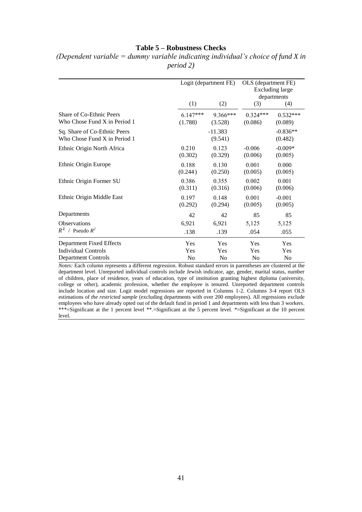#### **Table 5 – Robustness Checks**

|                                                              | Logit (department FE) |                      | OLS (department FE)<br><b>Excluding large</b><br>departments |                       |
|--------------------------------------------------------------|-----------------------|----------------------|--------------------------------------------------------------|-----------------------|
|                                                              | (1)                   | (2)                  | (3)                                                          | (4)                   |
| Share of Co-Ethnic Peers                                     | $6.147***$            | 9.366***             | $0.324***$                                                   | $0.532***$            |
| Who Chose Fund X in Period 1                                 | (1.788)               | (3.528)              | (0.086)                                                      | (0.089)               |
| Sq. Share of Co-Ethnic Peers<br>Who Chose Fund X in Period 1 |                       | $-11.383$<br>(9.541) |                                                              | $-0.836**$<br>(0.482) |
| Ethnic Origin North Africa                                   | 0.210                 | 0.123                | $-0.006$                                                     | $-0.009*$             |
|                                                              | (0.302)               | (0.329)              | (0.006)                                                      | (0.005)               |
| Ethnic Origin Europe                                         | 0.188                 | 0.130                | 0.001                                                        | 0.000                 |
|                                                              | (0.244)               | (0.250)              | (0.005)                                                      | (0.005)               |
| Ethnic Origin Former SU                                      | 0.386                 | 0.355                | 0.002                                                        | 0.001                 |
|                                                              | (0.311)               | (0.316)              | (0.006)                                                      | (0.006)               |
| Ethnic Origin Middle East                                    | 0.197                 | 0.148                | 0.001                                                        | $-0.001$              |
|                                                              | (0.292)               | (0.294)              | (0.005)                                                      | (0.005)               |
| Departments                                                  | 42                    | 42                   | 85                                                           | 85                    |
| <b>Observations</b>                                          | 6,921                 | 6,921                | 5,125                                                        | 5,125                 |
| $R^2$ / Pseudo $R^2$                                         | .138                  | .139                 | .054                                                         | .055                  |
| <b>Department Fixed Effects</b>                              | Yes                   | Yes                  | Yes                                                          | Yes                   |
| <b>Individual Controls</b>                                   | Yes                   | Yes                  | Yes                                                          | Yes                   |
| <b>Department Controls</b>                                   | N <sub>0</sub>        | No                   | No                                                           | N <sub>0</sub>        |

*(Dependent variable = dummy variable indicating individual's choice of fund X in period 2)*

*Notes:* Each column represents a different regression. Robust standard errors in parentheses are clustered at the department level. Unreported individual controls include Jewish indicator, age, gender, marital status, number of children, place of residence, years of education, type of institution granting highest diploma (university, college or other), academic profession, whether the employee is tenured. Unreported department controls include location and size. Logit model regressions are reported in Columns 1-2. Columns 3-4 report OLS estimations of *the restricted sample* (excluding departments with over 200 employees). All regressions exclude employees who have already opted out of the default fund in period 1 and departments with less than 3 workers. \*\*\*=Significant at the 1 percent level \*\*.=Significant at the 5 percent level. \*=Significant at the 10 percent level.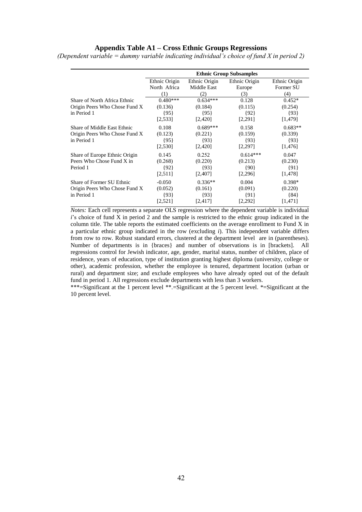#### **Appendix Table A1 – Cross Ethnic Groups Regressions**

*(Dependent variable = dummy variable indicating individual's choice of fund X in period 2)*

|                                                                             | <b>Ethnic Group Subsamples</b>         |                                          |                                            |                                           |  |  |
|-----------------------------------------------------------------------------|----------------------------------------|------------------------------------------|--------------------------------------------|-------------------------------------------|--|--|
|                                                                             | Ethnic Origin                          | Ethnic Origin                            | Ethnic Origin                              | Ethnic Origin                             |  |  |
|                                                                             | North Africa<br>(1)                    | Middle East<br>(2)                       | Europe<br>(3)                              | Former SU<br>(4)                          |  |  |
| Share of North Africa Ethnic                                                | $0.480***$                             | $0.634***$                               | 0.128                                      | $0.452*$                                  |  |  |
| Origin Peers Who Chose Fund X                                               | (0.136)                                | (0.184)                                  | (0.115)                                    | (0.254)                                   |  |  |
| in Period 1                                                                 | {95}<br>[2,533]                        | ${95}$<br>[2,420]                        | ${92}$<br>[2,291]                          | ${93}$<br>[1,479]                         |  |  |
| Share of Middle East Ethnic<br>Origin Peers Who Chose Fund X<br>in Period 1 | 0.108<br>(0.123)<br>{95}<br>[2,530]    | $0.689***$<br>(0.221)<br>{93}<br>[2,420] | 0.158<br>(0.159)<br>${93}$<br>[2,297]      | $0.683**$<br>(0.339)<br>${93}$<br>[1,476] |  |  |
| Share of Europe Ethnic Origin<br>Peers Who Chose Fund X in<br>Period 1      | 0.145<br>(0.268)<br>{92}<br>[2,511]    | 0.252<br>(0.220)<br>${93}$<br>[2,407]    | $0.614***$<br>(0.213)<br>${90}$<br>[2,296] | 0.047<br>(0.230)<br>${91}$<br>[1,478]     |  |  |
| Share of Former SU Ethnic<br>Origin Peers Who Chose Fund X<br>in Period 1   | $-0.050$<br>(0.052)<br>{93}<br>[2,521] | $0.336**$<br>(0.161)<br>{93}<br>[2,417]  | 0.004<br>(0.091)<br>${91}$<br>[2,292]      | $0.398*$<br>(0.220)<br>${84}$<br>[1,471]  |  |  |

*Notes:* Each cell represents a separate OLS regression where the dependent variable is individual  $i$ 's choice of fund  $\hat{X}$  in period  $\hat{Z}$  and the sample is restricted to the ethnic group indicated in the column title. The table reports the estimated coefficients on the average enrollment to Fund X in a particular ethnic group indicated in the row (excluding *i*). This independent variable differs from row to row. Robust standard errors, clustered at the department level are in (parentheses). Number of departments is in {braces} and number of observations is in [brackets]. All regressions control for Jewish indicator, age, gender, marital status, number of children, place of residence, years of education, type of institution granting highest diploma (university, college or other), academic profession, whether the employee is tenured, department location (urban or rural) and department size; and exclude employees who have already opted out of the default fund in period 1. All regressions exclude departments with less than 3 workers.

\*\*\*=Significant at the 1 percent level \*\*.=Significant at the 5 percent level. \*=Significant at the 10 percent level.